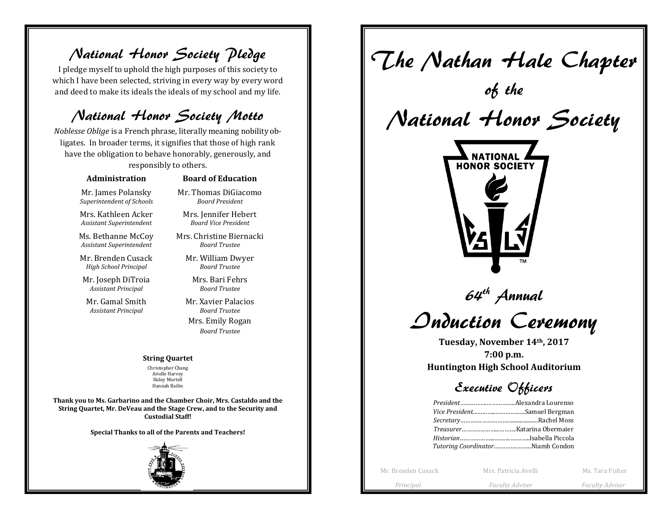National Honor Society Pledge

I pledge myself to uphold the high purposes of this society to which I have been selected, striving in every way by every word and deed to make its ideals the ideals of my school and my life.

### National Honor Society Motto

*Noblesse Oblige* is a French phrase, literally meaning nobility obligates. In broader terms, it signifies that those of high rank have the obligation to behave honorably, generously, and responsibly to others.

#### **Administration**

### **Board of Education** Mr. Thomas DiGiacomo

Mr. James Polansky *Superintendent of Schools*

Mrs. Kathleen Acker *Assistant Superintendent*

Ms. Bethanne McCoy *Assistant Superintendent*

Mr. Brenden Cusack *High School Principal*

Mr. Joseph DiTroia *Assistant Principal*

Mr. Gamal Smith *Assistant Principal*

Mrs. Jennifer Hebert *Board Vice President*

*Board President*

Mrs. Christine Biernacki *Board Trustee*

Mr. William Dwyer *Board Trustee*

> Mrs. Bari Fehrs *Board Trustee*

Mr. Xavier Palacios *Board Trustee*

Mrs. Emily Rogan *Board Trustee*

#### **String Quartet**

Christopher Chang Arielle Harvey Haley Mortell Hannah Bailin

**Thank you to Ms. Garbarino and the Chamber Choir, Mrs. Castaldo and the String Quartet, Mr. DeVeau and the Stage Crew, and to the Security and Custodial Staff!**

**Special Thanks to all of the Parents and Teachers!**



The Nathan Hale Chapter of the National Honor Society NATIONAI **HONOR SOCIETY**  $64<sup>th</sup>$  Annual Induction Ceremony **Tuesday, November 14th, 2017 7:00 p.m. Huntington High School Auditorium** Executive Officers *President*…………….……………..Alexandra Lourenso *Vice President*...………..…………...…Samuel Bergman *Secretary*………….……………......................Rachel Moss *Treasurer*…………..……...……….Katarina Obermaier *Historian*………………...…..…..…….…..Isabella Piccola *Tutoring Coordinator*.…………..……..Niamh CondonMr. Brenden Cusack Mrs. Patricia Avelli Mrs. Patricia Avelli Mrs. Tara Fisher

 *Principal Faculty Adviser Faculty Adviser*